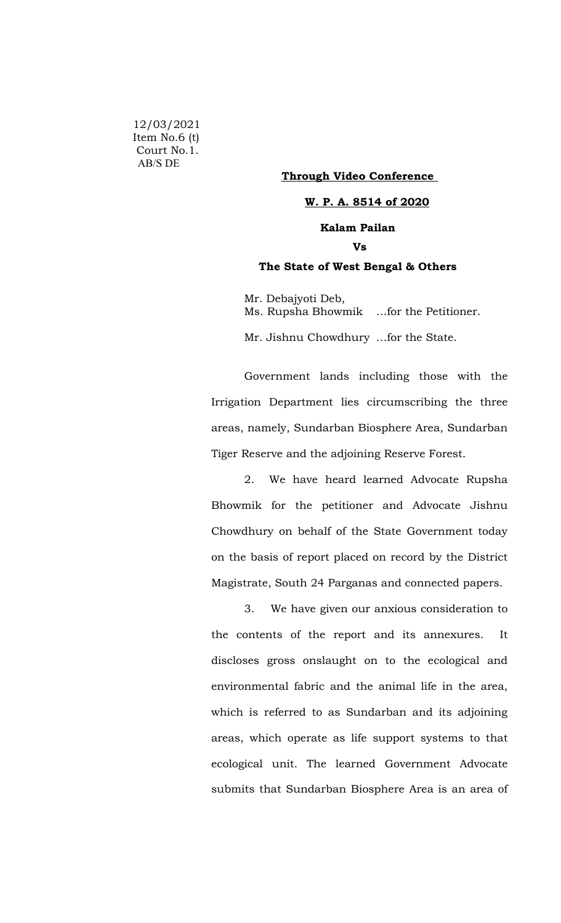12/03/2021 Item No.6 (t) Court No.1. AB/S DE

### **Through Video Conference**

#### **W. P. A. 8514 of 2020**

# **Kalam Pailan**

## **Vs**

### **The State of West Bengal & Others**

Mr. Debajyoti Deb, Ms. Rupsha Bhowmik …for the Petitioner.

Mr. Jishnu Chowdhury …for the State.

Government lands including those with the Irrigation Department lies circumscribing the three areas, namely, Sundarban Biosphere Area, Sundarban Tiger Reserve and the adjoining Reserve Forest.

2. We have heard learned Advocate Rupsha Bhowmik for the petitioner and Advocate Jishnu Chowdhury on behalf of the State Government today on the basis of report placed on record by the District Magistrate, South 24 Parganas and connected papers.

3. We have given our anxious consideration to the contents of the report and its annexures. It discloses gross onslaught on to the ecological and environmental fabric and the animal life in the area, which is referred to as Sundarban and its adjoining areas, which operate as life support systems to that ecological unit. The learned Government Advocate submits that Sundarban Biosphere Area is an area of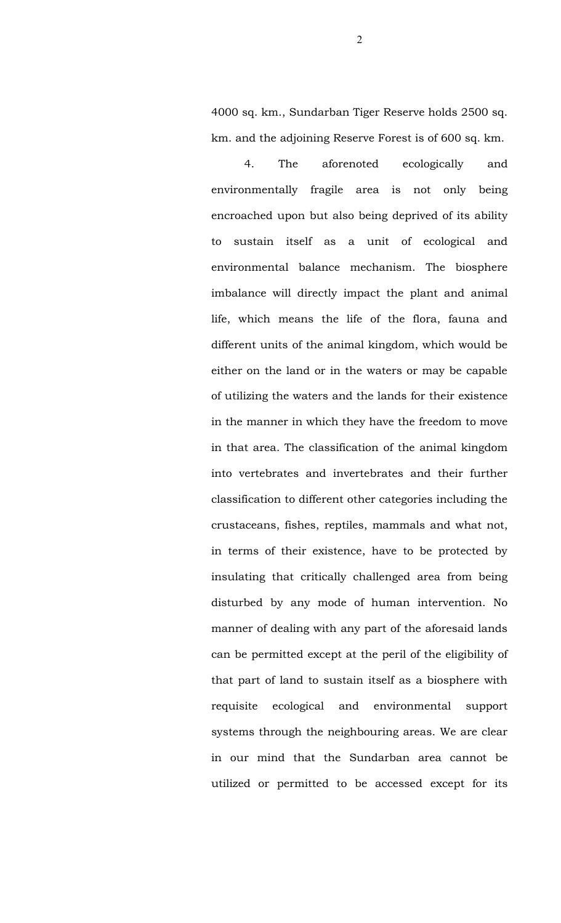4000 sq. km., Sundarban Tiger Reserve holds 2500 sq. km. and the adjoining Reserve Forest is of 600 sq. km.

4. The aforenoted ecologically and environmentally fragile area is not only being encroached upon but also being deprived of its ability to sustain itself as a unit of ecological and environmental balance mechanism. The biosphere imbalance will directly impact the plant and animal life, which means the life of the flora, fauna and different units of the animal kingdom, which would be either on the land or in the waters or may be capable of utilizing the waters and the lands for their existence in the manner in which they have the freedom to move in that area. The classification of the animal kingdom into vertebrates and invertebrates and their further classification to different other categories including the crustaceans, fishes, reptiles, mammals and what not, in terms of their existence, have to be protected by insulating that critically challenged area from being disturbed by any mode of human intervention. No manner of dealing with any part of the aforesaid lands can be permitted except at the peril of the eligibility of that part of land to sustain itself as a biosphere with requisite ecological and environmental support systems through the neighbouring areas. We are clear in our mind that the Sundarban area cannot be utilized or permitted to be accessed except for its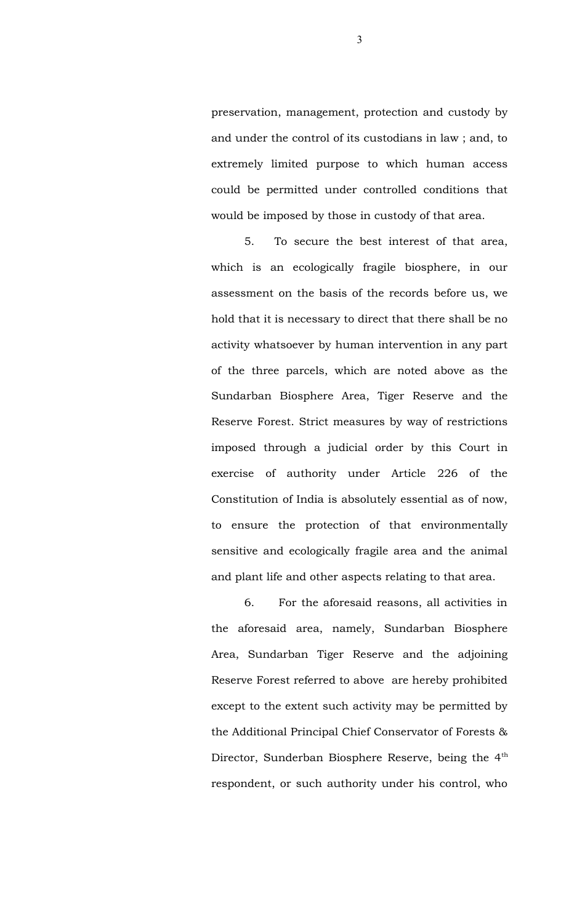preservation, management, protection and custody by and under the control of its custodians in law ; and, to extremely limited purpose to which human access could be permitted under controlled conditions that would be imposed by those in custody of that area.

5. To secure the best interest of that area, which is an ecologically fragile biosphere, in our assessment on the basis of the records before us, we hold that it is necessary to direct that there shall be no activity whatsoever by human intervention in any part of the three parcels, which are noted above as the Sundarban Biosphere Area, Tiger Reserve and the Reserve Forest. Strict measures by way of restrictions imposed through a judicial order by this Court in exercise of authority under Article 226 of the Constitution of India is absolutely essential as of now, to ensure the protection of that environmentally sensitive and ecologically fragile area and the animal and plant life and other aspects relating to that area.

6. For the aforesaid reasons, all activities in the aforesaid area, namely, Sundarban Biosphere Area, Sundarban Tiger Reserve and the adjoining Reserve Forest referred to above are hereby prohibited except to the extent such activity may be permitted by the Additional Principal Chief Conservator of Forests & Director, Sunderban Biosphere Reserve, being the 4<sup>th</sup> respondent, or such authority under his control, who

3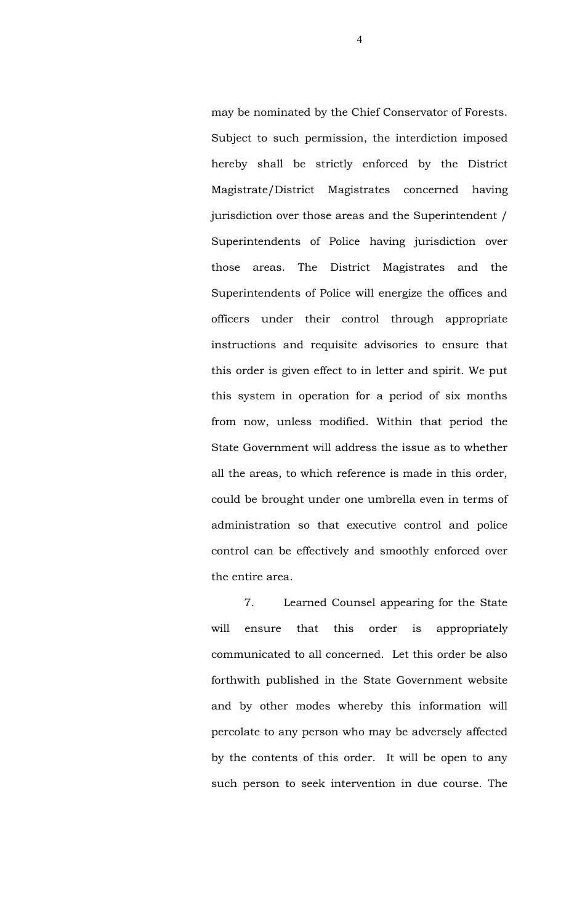may be nominated by the Chief Conservator of Forests. Subject to such permission, the interdiction imposed hereby shall be strictly enforced by the District Magistrate/District Magistrates concerned having jurisdiction over those areas and the Superintendent / Superintendents of Police having jurisdiction over those areas. The District Magistrates and the Superintendents of Police will energize the offices and officers under their control through appropriate instructions and requisite advisories to ensure that this order is given effect to in letter and spirit. We put this system in operation for a period of six months from now, unless modified. Within that period the State Government will address the issue as to whether all the areas, to which reference is made in this order, could be brought under one umbrella even in terms of administration so that executive control and police control can be effectively and smoothly enforced over the entire area.

7. Learned Counsel appearing for the State will ensure that this order is appropriately communicated to all concerned. Let this order be also forthwith published in the State Government website and by other modes whereby this information will percolate to any person who may be adversely affected by the contents of this order. It will be open to any such person to seek intervention in due course. The